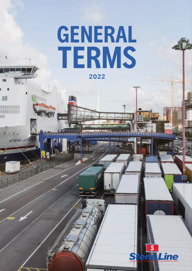# **GENERAL TERMS 2022**

Line

STENA JUTLA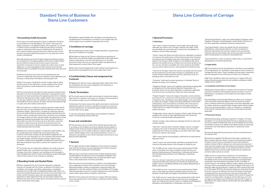#### **1 Accounting Credit Accounts**

**1.1** The Stena Line entity being the Carrier, as defined in the Stena Line Conditions of Carriage (below "the Carrier") will issue to its freight customers, or its agent(s), (below, "the Customer") an invoice, in respect of each consignment made with the Stena Line entity, under an authorised credit account established for the benefit of the Customer. Specific payment terms are stated on each invoice. Invoices may be provided electronically or in any other form at the Carrier's convenience.

**1.2** Credit facilities are for the Freight charges (as defined in Stena Line Conditions of Carriage) payable to the Carrier. Credit facilities do not extend to amounts due to local customs and excise authorities in the port of arrival in respect of customs duty or value added tax. It is the responsibility of the Customer to ensure that sufficient funds are available at the port concerned for such duty and tax to be paid.

**1.3** Where any part of any invoice may be questioned by the Customer in good faith, the amount in question may be deducted until the query is resolved but the balance must be paid in full.

Details of any query, including the invoice number, date of sailing and the reason for the deduction, must be notified to the Carrier within the period of credit allowed for the Customer's credit account.

**1.4** The Carrier reserves the right to invoice statutory interest for late payments in all of its commercial transactions. Late payment means payment not made according to the agreed payment terms. Statutory interest for late payments means simple interest which is equal to the sum 8% plus reference rate. The reference rate is set by the European Central Bank for Euro countries, for other countries the reference rate is usually set by the national central bank.

**2.2** Quoted or agreed Freight rates will apply to any boarding card completed prior to withdrawal or variation of such Freight rates and will be subject to any conditions imposed by the Carrier.

**3.1** The performance of the Carrier's freight operations is governed by Stena Line Conditions of Carriage.

**1.5** If the Customer is in default in making a payment under specific payment terms or these Standard Terms of Business for Stena Line Customers (below, "these Terms"), exceeds its credit limit, permits the use of credit facilities by third parties without authority from the Carrier or fails to comply with these Terms, the Stena Line Conditions of Carriage and/or any other separate freight rate agreement or other agreement entered into between the Carrier and the Customer in some other way, then the Carrier may at its discretion, cancel the Customer's credit account at which time all amounts from the Customer to the Carrier shall become payable immediately upon written demand from the Carrier.

**5.1** The Carrier reserves the right to terminate its contractual relationships with the Customer in the event of a change in the ownership of the Customer and/or any of its affiliated companies.

**1.6** Where the Carrier has agreed in writing that credit facilities may be transferred by the Customer for use by third parties, the Customer shall strictly comply with all conditions applied by the Carrier to any such third party use. The Customer shall remain liable for Freight charges and other charges arising in relation to the Customer's credit account regardless of whether the credit facility or other documentation concerned is used by the Customer or by a third party.

**1.7** The Carrier may at its discretion withdraw any credit account or quoted Freight rates, as defined in the Stena Line Conditions of Carriage, at any time. However, such withdrawal will only apply to future consignments and the Carrier will endeavour to give reasonable notice to the Customer of any intention to withdraw.

#### **2 Boarding Cards and Quoted Rates**

**2.1** Each consignment by the Customer represents a separate Contract of Carriage with the Carrier, as defined in the Stena Line Conditions of Carriage, and will be evidenced by a completed boarding card. Except under completed boarding cards, there is no contractual relationship between the Carrier (or any other Stena Line entity), and the Customer, apart from any separate freight rate agreement or other agreement that may have been entered into between the Carrier (or any other Stena Line entity) and the Customer and to which these Terms apply.

#### **3 Conditions of carriage**

**3.2** No failure or delay by the Carrier in enforcing any provision of these Terms, any separate freight rate agreement or other agreement shall be construed as a waiver of that provision or of any other provision of these Terms or any separate freight rate agreement or other agreement to which these Terms apply.

> "Merchant" could be either Customer, shipper, receiver, consignor, consignee, the owner of the Goods, the holder of any document evidencing the Contract of Carriage or any other entity with a legal financial or interest in the Goods.

**3.3** No claim of any kind against the Carrier shall be set off against any payment due and payable to the Carrier under these Terms.

#### **4 Confidentiality Clause and assignment by Customer**

**4.1** Agreements with the Carrier regarding freight under these Terms are confidential and may not be assigned to any third party or referred to by any such party.

#### **5 Early Termination**

Furthermore, the Carrier reserves the right to terminate its contractual relationships with the Customer, should the Customer not carry the volumes quoted for in any separately agreed freight rate agreement, to which these Terms apply.

In case the contractual relationships are terminated for whatever reason, all outstanding amounts falls due.

#### **6 Law and Jurisdiction**

**1.2.1** The provisions set out and referred to in the Stena Line Conditions of Carriage (below, the "Conditions") shall apply to every Contract of Carriage with the Carrier. These Conditions must be read in conjunction with the Standard Terms of Business for Stena Line Customers.

**1.2.2** These Conditions shall come into force on 1 August 2021 and replace all previous general terms and conditions whatsoever (either implied, oral or written).

**6.1** The provisions set out in these Terms shall be governed by and in accordance with Swedish law and any dispute arising under/or in relation hereto shall exclusively be determined by the District Court of Gothenburg, save for matters relating to unpaid Freight charges and/or related charges which may be pursued before a court or a tribunal in a jurisdiction at the Carrier's discretion and the law at such place be then applicable.

**1.3.1** Disputes arising under or in relation to the Contract of Carriage and these Conditions shall be determined by the District Court of Gothenburg in accordance with Swedish law and subject to these **Conditions** 

#### **7 General**

**7.1** The rights, benefits and/or obligations of the contractual relationships with the Customer may be assigned by the Carrier, including, but not limited to assignment of receivables.

**7.2** If any term or provision of these Terms shall be declared void or unenforceable by any tribunal or court of competent jurisdiction, then such invalidity or unenforceability shall not otherwise affect these Terms, which shall remain in full force and effect.

**7.3** In the event of any inconsistency or conflict in the interpretation and or application of these Terms and Stena Line Fuel Surcharge Adjustment Model, whether incorporated in separate freight rate agreements or not, the wording of Stena Line Conditions of Carriage shall take precedence save for in matters relating to law and jurisdiction and/or matters governed by mandatory national law.

**7.4** These Terms shall come into force on 1 August 2021 and replace all previous general terms and conditions whatsoever (either implied, oral or written).

## **Standard Terms of Business for Stena Line Customers**

#### **1 General Provisions**

#### **1.1 Definitions**

"AoT" means "article of transport" and includes, unless otherwise indicated, any vehicle, train, carriage, container, flat, pallet, trailer, transportable tank and similar items used for the consolidation of Goods as well as timber packages,

"Carrier" means the Stena Line entity who has undertaken to perform or to procure the performance of the entire transport from the place of receipt or port of loading to the port of discharge or the place of delivery. The Carrier is either (i) Stena Line Scandinavia AB, which performs the SLSAB services, (ii) Stena Line Ltd, which performs the SLL services, (iii) Stena Line Baltic A/S, which performs the SLBAS services and (iv) Stena Line B.V., which performs the SLBV services.

"Contract of Carriage" means the contract concluded with the Carrier for the performance of the entire transport as undertaken by the Carrier, whether evidenced by the issue of a document, such as a boarding card (a "Document") or not.

"Customer" shall have the same meaning as in Standard Terms of Business for Stena Line Customers.

"Dangerous Goods" means such materials and substances designated as dangerous by the International Maritime Organisation, the European Union and any other legislation or regulations applicable from time to time in jurisdictions where the Carrier operates.

"Freight charge(s)" means all charges to be paid to, and invoiced by, the Carrier for or in connection with the performance of the transport of Goods by sea, including any associated charges, costs and expenses and/or any storage charges (including shifting fees and terminal parking fees), costs and expenses incurred by the Carrier prior to loading and/or after discharge and/or any surcharges which the Carrier may levy in respect of variations in currency exchange rates and/or fuel prices;

"Freight rates" means rates for transport of AoTs and/or Goods, either quoted by the Carrier or rates agreed between the Carrier and Customer in separate freight rate agreements.

"Goods" includes, unless otherwise indicated, the AoT as well as the contents thereof.

"SDR" means Special Drawing Right as defined by the International Monetary Fund.

"Vessel" means any vessel owned, operated or employed by the Carrier for the performance of the transport of Goods by sea.

The "SLSAB services" means the services performed by SLSAB, which, at the date when these Conditions enter into force, are between Gothenburg and Frederikshavn; Halmstad and Grenaa; Kiel and Gothenburg; Rostock and Trelleborg; or Karlskrona and Gdynia.

The "SLL services" means the services of the Carrier between Fishguard and Rosslare; Rosslare and Cherbourg; Holyhead and Dublin; Cairnryan and Belfast; Belfast and Liverpool (Birkenhead); or Belfast and Heysham.

The "SLBAS services" means the services performed by SLBAS which, at the date when these Conditions enter into force, are between Travemünde and Liepaja; or Nynäshamn and Ventspils.

The "SLBV services" means the services performed by SLBV which, at the date when these Conditions enter into force, are between Hoek van Holland and Harwich; Hoek van Holland and Killingholme; Rotterdam and Killingholme; or Rotterdam and Harwich.

"Sanctioning Authority" means, the United Nations, European Union, Kingdom of Sweden, United Kingdom, United States of America or any other applicable competent authority or government.

"Sanctioned Goods" means any Goods that are sanctioned or prohibited by a Sanctioning Authority, or which are directly or indirectly impacted by the sanctions regime of any Sanctioning Authority because they Goods were at one point either owned or within the possession or control of a Sanctioned Part.

"Sanctioned Party" means any person, body, entity, or vessel that is designated by a Sanctioning Authority.

#### **1.2 Applicability**

#### **1.3 Jurisdiction and Choice of Law Clause**

No proceedings may be brought before any other court or tribunal unless the parties expressly agree on both the choice of another court or tribunal and the law at that place to be then applicable, save for matters relating to unpaid Freight charges and/or related charges which may be pursued before a court or a tribunal in a jurisdiction at the Carrier's sole discretion and the law at that place to be then applicable.

#### **1.4 Paramount Clause**

**1.4.1** Notwithstanding anything provided for in Chapter 3 of these Conditions: if it can be proved where the loss or damage occurred, the Carrier and/or the Merchant shall, as to the liability of the Carrier, be entitled to require such liability to be determined by the provision contained in any international convention or national law which provisions:

**1)** cannot be departed from by private contract to the detriment of the claimant and,

**2)** would have applied if the Merchant had made a separate and direct contract with the Carrier in respect of the particular stage of transport where the loss or damage occurred and received as evidence thereof a Bill of Lading or any other particular document which must be issued if such international convention or national law shall apply except that under no circumstances shall the Carrier's liability extend to live animals and/or Goods that are stated to be carried on deck and are so carried.

**1.4.2** In so far as no provisions contained in any international convention or mandatory national law apply to the carriage by sea, the liability of the Carrier shall be determined by the Hague Rules contained in the International Convention for the Unification of Certain Rules of Law relating to Bills of Lading, signed at Brussels on 25 August 1924 as amended by the Protocol signed at Brussels on 23 February 1968 and the protocol in relation to SDR's signed at Brussels on 21 December 1979 from the time the Goods are received at the sea terminal in the port of loading to the time the Goods are delivered or dispatched from the sea terminal in the port of discharge. The aforesaid shall also determine the liability of the Carrier in respect of coastwise carriage and/or carriage by inland waterways as if such carriage was carriage by sea. Furthermore all such AoT on deck, as described in this clause, shall be carried under the same liability as stated above.

## **Stena Line Conditions of Carriage**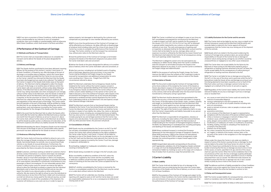**1.4.3** If any term or provision of these Conditions, shall be declared void or unenforceable by any tribunal or court of competent jurisdiction, then such invalidity or unenforceability shall not otherwise affect these Conditions, which shall remain in full force and effect.

**2.2.1** The Goods shall be constituted to have been delivered, meaning delivery for the purpose of this section 2, section 3 and clause 1.4 of these Conditions, of Goods by sea, after discharge at the port of discharge, or at another place of delivery (which the Carrier deem safe and convenient) provided that the Carrier (or any one acting on the Carrier´s behalf) has informed the Merchant that the Goods have been discharged and are ready to be collected. The liability of the Carrier in respect of the Goods shall wholly cease at that point of delivery. The Merchant shall be obligated to collect the Goods at the port of discharge, or at another place of delivery (which the Carrier deem safe and convenient), without undue delay following delivery. If the Merchant fails to collect the Goods at delivery, the Carrier may, taking reasonable care when arranging for such storage, without further notice to the Merchant, store the Goods on behalf of the Merchant and at the Merchant's sole risk and expense, subject, if requisite, to the lien provisions of clause 5.2.1 hereof, until the Merchant has collected the Goods. Any storage is subject to the rules and regulations of the relevant port of discharge. The Carrier and/or terminal operator at the port of discharge, shall be entitled to charge the Merchant for any storage fees (including shifting fees and terminal parking fees), costs and expenses incurred by the Carrier and/or terminal operator for the storage of the Goods under this clause 2.2.1.

#### **2 Performance of the Contract of Carriage**

#### **2.1 Methods and Routes of Transportation**

**2.1.1** The Carrier shall use reasonable endeavours to complete the transport and to deliver the Goods at the place designated for delivery.

#### **2.2 Delivery and Storage**

**2.2.2** In the event that the Merchant fails to collect the Goods within one month after the Carrier has called on the Merchant to do so, meaning one month from the point of delivery as set out in clause 2.2.1, above the Carrier shall, without further notice to the Merchant, be at liberty to sell the Goods by public auction, or otherwise at its discretion, at the Merchant's expense and without any liability towards the Merchant.

**2.2.3** Notwithstanding the above, Dangerous Goods must be removed from the port of discharge as soon as is practicable unless specific permission has been obtained for the Goods to remain in the port.

#### **2.3 Hindrances Affecting Performance**

**2.3.1** The Carrier shall at all times be entitled to refuse to carry, or to delay the carriage of Goods including, but not limited to, Dangerous Goods, Sanctioned Goods, live animals, new or second hand trade vehicles or any Goods of unusual dimensions. Furthermore, the Carrier is entitled to refuse to carry any Goods not being handled as prescribed by the Stena Line policy for securing cargo.

**2.3.4** The Merchant warrants that no Sanctioned Goods shall be tendered to the Carrier. If any Sanctioned Goods are tendered to the Carrier the Merchant shall indemnify the Carrier and hold the Carrier harmless in respect of any liability, loss, delay, fine, claims or demands of whatsoever nature, including any consequential losses or liability, that may arise out of or in connection with the Sanctioned Goods. This includes paying for any and all legal assistance that the Carrier may require at its sole discretion. To the extent that this provision conflicts with any other provision herein, this provision will prevail.

**2.3.1.2** Customers, and those working on behalf of customers shall at all times conduct themselves in a manner which does not endanger or threaten any person or property, injure or assault any person, threaten, abuse or insult other passengers or Stena Line employees cause the theft, loss of or damage to property, or prejudice the health of, or cause distress, discomfort or unnecessary inconvenience to any passenger or Stena Line employee. If in our reasonable opinion their conduct is likely to give cause for concern we reserve the right to refuse to allow the individual to embark or require that the individual disembarks and/ or leave the terminal facilities and we may also report the matter to any relevant police or other enforcement authority. We also reserve the right to refuse to carry the individual on a return journey or at any time in the future. Under such circumstances we shall not refund any money paid for the relevant journey, we shall have no liability as a result of the cancellation of the shipment, the customer will reimburse us any costs we incur in order to repair or

replace property, lost damaged or destroyed by the customer and compensate any passenger or crew member affected by your actions.

**2.3.2** If at any time the performance of the Contract of Carriage is or will be affected by any hindrance, risk delay, difficulty or disadvantage of whatever kind including strike and if by virtue of sub-clause (1) the Carrier has no duty to complete the performance of the Contract of Carriage. The Carrier, whether or not the transport has commenced, may, without prior notice to the Merchant, elect to:

**1)** treat the performance of the Contract of Carriage as terminated and place the Goods at the Merchant's disposal at any place which the Carrier shall deem safe and convenient

**2)** deliver the Goods at the place designated for delivery or to another place of delivery which the Carrier shall deem safe and convenient, or

**3)** alter ferry services, including but not limited to ports of loading, ports of discharge, departure and arrival times. In any event the Carrier shall be entitled to full Freight charge for any Goods received for transportation and additional compensation for extra costs resulting from 1 Stena Line - Freight Facts 2021 the circumstances referred to above.

> **2.5.5** Enlarged labels (placards) corresponding to the primary, and if appropriate, subsidiary risk of the Dangerous Goods contained in a cargo unit must be displayed/affixed. These placards must be removed (or hidden by masking) as soon as the cargo unit is empty or free of residue from its previous cargo that presented a risk

**3.1.1** The Carrier shall only be liable for loss of or damage to the Goods which have occurred during the time when the Carrier takes possession of the Goods until the time of delivery, as set out in clause 2.2.1 of these Conditions.

**2.3.3** The Merchant undertakes that no Dangerous Goods shall be tendered to the Carrier without the Carrier's express consent in writing and without appropriate labelling of the Goods and the AoT. If any Dangerous Goods are delivered to the Carrier without such written consent and/or labelling or in the opinion of the Carrier are liable to become a risk to the method of transport, other Goods or the environment the Dangerous Goods may at any time be discharged, destroyed or rendered harmless and be disposed of by the Carrier. Such undertaking shall be at the Merchant's risk and expense, except when General Average is declared.

**3.2.4** The Carrier is not liable for loss or damage occurring when the AoT is in the care of the driver and in particular whilst the AoT is being driven inside the Vessel, all loss and damage occurring at such time being deemed to have been caused by an act or fault of the Merchant unless such loss or damage is proven to be due to a mer many anses can necessary comparison processes the carrier of the Carrier, its servants or agents.

#### **2.4 Consolidation of Goods**

**2.4.1** Goods may be consolidated by the Carrier in an AoT. If an AoT has not been consolidated and prepared for conveyance by the Carrier, the Carrier shall, without prejudice to the rights available to the Carrier under Section 3 and clause 1.4 hereof, not be liable for damage to or loss of the Goods therein nor for any damage to or loss of the AoT itself and the Merchant shall indemnify the Carrier for any loss, damage or expense incurred by the Carrier, if such loss, damage or expense is attributable to:

**1)** overloading, negligent or inadequate consolidation, securing, covering or locking the AoT

**2)** the Goods being unsuitable for carriage in the AoT actually used,

**3)** the unsuitability or defective condition of the AoT, unless the AoT has been supplied by the Carrier and the unsuitability and/ or defective condition would have been apparent by reasonable means of checking at the time when the Carrier accepted the AoT for conveyance.

**2.4.2** AoT, whether consolidated by the Carrier or received by the Carrier in a consolidated condition from the Merchant, may be carried on or under deck without notice to the Merchant.

**2.4.3** The Carrier will not undertake any checking, recording or reporting with regard to seals on AoT and the Carrier does not accept any responsibility whatsoever for, or as a consequence of, defective or missing seals on AoT.

**2.4.4** The Carrier is entitled, but not obliged, to open at any time any AoT consolidated and prepared for conveyance by the Merchant in order to inspect such AoT and its contents for the purposes of the clauses 2.2.3, 2.3.3, 2.4.1, 2.5.2 to 2.5.4 or if any AoT as aforesaid is opened and/or inspected by any customs or other government authority at any time. The costs and expenses of opening and/ or inspection as aforesaid shall be for the Merchant's account and the Carrier shall not be liable for any loss, damage, delay costs or expenses incurred or suffered by the Merchant by reason thereof and the Merchant shall indemnify the Carrier for all consequences arising from such openings and/or inspections.

The Merchant is obliged to correct at its risk and expense any inadequacy or defect found, failing which the Carrier is entitled to treat the transport as terminated and place the Goods at the Merchant's disposal at any place. In such case the Carrier is entitled to full Freight charge and indemnification.

**2.4.5** For the purpose of verifying the Freight charge, the Carrier reserves the right to have the contents of AoT inspected in order to ascertain the weight, measurement, value or nature of the Goods.

#### **2.5 Description of Goods**

**2.5.1** The Document evidencing the Contract of Carriage shall be prima facie evidence of the receipt by the Carrier of the Goods as therein described in respect of the particulars which the Carrier had reasonable means of checking. In respect of such particulars proof to the contrary shall not be admissible when the Document has been transferred to a third party acting in good faith.

**2.5.2** The Merchant shall be deemed to have guaranteed to the Carrier the accuracy, at the time the Goods were taken in charge by the Carrier, of the description of the Goods, marks, numbers, quantity and weight, as furnished by the Merchant and the Merchant shall indemnify the Carrier against any loss, damage and expense arising or resulting from such inaccuracies in or inadequacy of such particulars. The right of the Carrier to such indemnity shall in no way limit the Carrier's responsibility and liability hereunder to any person other than the Merchant.

**2.5.3** The Merchant is responsible for all regulations, statutory or otherwise, including the latest edition of the International Maritime Dangerous Goods (IMDG) Code, and/or the Memorandum of Understanding for the Transport of Packaged Dangerous Goods in the Baltic Sea (depending on route/departure), including packaging and labelling of the Goods and labelling of the AoT.

**2.5.4** Where combined transport is involved the European Agreement for the International Carriage of Dangerous Goods by Road (ADR) and Annex 1 (RID) to the contract for International Carriage of Goods by Rail (CIM) or special arrangements made between the contracting parties in respect hereof apply to the appropriate leg.

#### **3 Carrier's Liability**

#### **3.1 Basic Liability**

**3.1.2** For the purposes of the Contract of Carriage and subject to the provisions in these Conditions, the Carrier shall be responsible for the acts and omissions of any person whose services it makes use of for the performance of the Contract of Carriage.

#### **3.2 Liability Exclusions for the Carrier and his servants**

**3.2.1** The Carrier shall not be liable for any loss, injury or death to live animals howsoever caused and the Merchant shall be jointly and severally liable to indemnify the Carrier against all financial consequences that the Carrier may incur arising out of the shipment of the live animals.

**3.2.2** Goods which are stated in the Document evidencing the Contract of Carriage to be carried on deck, are carried without responsibility on the part of the Carrier for loss or damage of whatever nature arising during carriage by sea whether caused by unseaworthiness or negligence or any other cause whatsoever.

**3.2.3** The Carrier does not accept liability for the failure by the Merchant or those acting on the Merchant's behalf to plug in refrigeration or heating machines attached to the AoT nor does the Carrier accept liability for the consequences of malfunctioning of refrigeration or heating machines attached to the AoT.

**3.2.5** Regardless of the Carrier's basic liability, the Carrier shall be relieved of liability for any loss or damage if such loss or damage arose or resulted from:

- **a.** any cause or event which the Carrier could not avoid by the exercise of reasonable diligence,
- **b.** saving or attempting to save life or property at sea. **c.** act of God, act of war or act of public enemies including riots and civil commotions,
- **d**. arrest or restraint of princes, rulers or people, or seizure under legal process
- **e.** quarantine restrictions,
- **f.** act or omission of the Merchant, his agent or representative,
- compliance with the instructions of the person entitled to give them, strikes or lockouts or stoppage or restraint of labour from whatever cause, whether partial or general,
- **i.** perils, dangers and accidents of the sea or other navigable waters,
- insufficiency or inadequacy of marks or insufficiency of packing,
- **k.** handling, loading, stowage or unloading of the Goods by or on behalf of the Merchant,
- **l.** inherent vice of the Goods,
- **m.** fire, unless caused by the actual fault or privity of the Carrier,
- **n.** act, neglect, or default of the master, mariner, pilot, or the servants of the carrier in the navigation or in the management of the ship.

Where under this clause the Carrier is not under any liability in respect of some of the factors causing the loss or damage, he shall only be liable to the extent that those factors for which it is liable under this Clause have contributed to the loss or damage. The burden of proving that the loss or damage was due to one or more of the causes, or events, specified in  $(f)$ ,  $(g)$ , and  $(m)$  of this clause shall rest upon the Carrier. When the Carrier establishes that in the circumstances of the case, the loss or damage could be attributed to one more of the causes, or events, specified in (i) to (l), it shall be presumed that it was so caused. The Merchant shall, however, be entitled to prove that the loss or damage was not, in fact, caused wholly or partly by one or more of the causes or events.

**3.2.6** The defences and limits of liability provided for in these Conditions shall apply in any action against the Carrier for loss of or damage to the Goods whether the action be founded in contract or tort.

#### **3.3 Delay and Consequential Losses**

**3.3.1** The Carrier accepts liability for consequential loss, only to such extent as mandatory rules to this effect are applicable.

**3.3.2** The Carrier accepts liability for delay or other pure economic loss,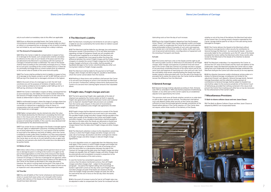only to such extent as mandatory rules to this effect are applicable.

**3.3.3** Save as otherwise provided herein, the Carrier shall in no circumstances whatsoever and howsoever arising be liable for direct or indirect or consequential loss or damage or loss of profits including, but not limited to, any such losses arising from a delay in delivery.

#### **3.4 The Amount of Compensation**

**3.4.1** When the Carrier is liable for compensation in respect of loss of or damage to the Goods, such compensation shall be calculated by reference to the value of such Goods at the place and time they are delivered to the Merchant in accordance with the Contract of Carriage or should have been so delivered. The value of the Goods shall be fixed according to the commodity exchange price or, if there be no such price, according to the current market price or, if there be no commodity exchange price or current market price, by reference to the normal value of Goods of the same kind and quality.

**3.4.4** If the Carrier is held liable in respect of delay, consequential loss or pure economic loss, the liability of the Carrier shall be limited to the amount of Freight charge for the transport or to the value of the Goods as determined in clause 3.4, whichever is the lesser.

**3.4.2** The Carrier shall be entitled to limit its liability in respect of loss of or damage to the Goods carried in an AoT to 667 SDR per unit or 2 SDR per kg of the Goods lost or damaged, whichever is the highest.

**3.4.3** In the event of loss of or damage to an AoT, the AoT shall constitute one unit for purposes of limitation of liability and the Carrier shall be entitled to limit its liability to 667 SDR per AoT or 2 SDR per kg, whichever is the highest.

**3.4.5** In multimodal transport, where the stage of carriage where loss or damage occurred is not known, or is known but no international convention or national law is applied by virtue of clause 1.4, compensation shall not exceed 2 SDR's per kilogram of gross weight of the Goods lost or damaged.

**4.11** The Merchant, including but not limited to its servants or agents is liable for any loss sustained by the Carrier direct or indirect caused by the Merchant.

**3.4.6** Higher compensation may be claimed only when the value of the Goods declared by the Merchant is exceeding the limits laid down in this Clause and, with the consent of the Carrier, has been stated in the Document evidencing the Contract of Carriage for the purpose of extending its liability. In this case the value declared shall be substituted for the aforementioned limits.

**3.4.7** If any action for loss or damage to the Goods is brought against a servant, agent or independent contractor, including stevedores or any of those referred to in clause 3.1.2, such person shall be entitled to avail itself of the defences and limits of liability, which the Carrier is entitled to invoke under these Conditions, as if they were expressly made for their benefit and in entering into any Contract of Carriage the Carrier does so not only on its own behalf but also as agent and trustee for such persons who shall to this extent be or be deemed to be parties hereto.

#### **3.5 Notice of Loss**

**3.5.1** Unless notice of loss or damage and the general nature of such loss or damage be given in writing to the Carrier or its agent at the port of discharge before or at the time of the removal of the Goods into the custody of the person entitled to delivery thereof under the Contract of Carriage, or, if the loss or damage be not apparent, within six days, such removal shall be prima facie evidence of the delivery by the Carrier of the Goods as described in the cargo documents. However, the notice in writing need not be given if the state of the Goods has, at the time of their receipt, been the subject of joint survey or inspection and is documented in the Carrier's inspection report.

#### **3.6 Time Bar**

**3.6.1** Any and all liability of the Carrier whatsoever and howsoever arisen or caused shall cease unless suit is brought within twelve months after delivery of the Goods or the date when the Goods should have been delivered.

#### **4 The Merchant's Liability**

**4.1.2** The Merchant shall be liable for any damage, loss and expense, howsoever caused, if the provisions in 2.5 or any other provisions regarding carriage of Dangerous Goods are not complied with. If the particulars supplied by or on behalf of the Merchant are incorrect, it is agreed that a sum equal to either five times the difference between the correct Freight charge and the Freight charge charged or to double the correct Freight charge less the Freight charge charged, whichever is the smaller, shall be payable as liquidated damages to the Carrier, notwithstanding any other sum having been stated as Freight charges payable.

> This provision shall cover all Goods whether carried on or under deck as well as deck cargo and live animals. The Merchant shall deliver such cash deposit and/or other security as the Carrier may deem sufficient to cover the estimated general average contribution of the Goods before delivery if the Carrier requires, or, if the Carrier does not require, within three months of the delivery of the Goods,

**4.1.3** The Merchant shall be liable for the payment of all Freight charges, other charges and demurrage etc. payable at destination, which the Carrier cannot obtain from the receiver.

**4.1.4** Nothing in these terms and conditions shall prevent the Carrier or its servants from bringing an action in tort towards the Merchant or its servants. Furthermore, nothing in these terms shall prevent the Carrier or its servants from claiming higher amounts than stipulated above.

#### **5 Freight rates, Freight charges and Lien**

**6.1.4** Any disputes howsoever and/or whatsoever arising under or in relation to General Average, including but not limited to, the adjustment thereof, cash deposits, General Average bonds, General Average Guarantees and the collection and/or payment of contributions to General Average shall be subject to Swedish law and shall be subject to the exclusive jurisdiction of the District Court of Gothenburg, provided that nothing contained in this clause shall prevent the Carrier from invoking such other law as may be necessary for the enforcement of the Carrier's rights.

**5.1.1** The terms governing Freight rates applicable at the date of shipment are quoted by the Carrier and/or set forth in separate freight rate agreements entered into between Carrier and Customer prior to shipment. Quoted Freight rate provisions are available from the Carrier upon request. In the event of inconsistency between these Conditions and a freight rate agreement, the latter shall prevail.

**5.1.2** Freight charge shall be deemed earned on receipt of the Goods by the Carrier and shall be paid in any event and is non-returnable. Pre-payable Freight charge and other charges shall be payable at the latest upon receipt of the Goods by the Carrier and Freight charge and other charges, if any, payable at destination shall be payable at the latest on the date when the Goods are delivered or should have been delivered, unless otherwise agreed. The Carrier is entitled to charge interest from the date when Freight charge and other charges are due.

**5.1.3** The Merchant's attention is drawn to the stipulations concerning currency in which the Freight charge and other charges are to be paid, rate of exchange, devaluation and other contingencies relative to Freight charges and other charges in relevant freight charge agreements.

If no such stipulation exists or is applicable then the following clause shall apply: if the currency in which Freight charges and charges are quoted is devalued or an alteration in the rate of exchange occurs with the same effect as a devaluation between the date of the Contract of Carriage and the date when the Freight charge and other charges are payable, then all Freight charges and other charges shall be automatically and immediately increased in proportion to the extent of the devaluation of the said currency.

In case the Carrier has consented to payment in another currency than the above mentioned currency, then all Freight charges and other charges shall – subject to the preceding paragraph – be paid at the highest selling rate of exchange for banker's sight draft current on the day when such Freight charge and other charges are paid. If the banks are closed on the day when the Freight charge and other charges are paid, the rate to be used will be the one in force on the last day when the banks were open.

**5.1.4** In the event of increase in price for fuel oil, all Freight rates may be adjusted in order to compensate the Carrier for increased fuel and lubricating costs as from the day of such increase.

**5.1.5** Due to the United Kingdom's departure from the European Union ("Brexit"), all Freight rates may be adjusted, and/or surcharges added, in order to compensate the Carrier for all costs and expenses being attributable to Brexit. Examples of such costs and expenses may include, but is not limited to, customs, duties, tariffs, port costs, cost of personnel administration, reconfigurations of equipment and the rerouting of transports and Goods.

#### **5.2 Lien**

**5.2.1** The Carrier shall have a lien on the Goods and the right to sell the same by public auction or otherwise at its discretion for all Freight charges, other charges and expenses of whatever kind and nature due to the Carrier under the Contract of Carriage and also in respect of any previously unsatisfied amounts of the same nature and for the same costs and expenses of exercising such a lien and such sale. Such lien and liability shall remain notwithstanding the Goods have been landed, stored or otherwise dealt with. If on the sale of the Goods the proceeds fail to realize the amount due, the Carrier shall be entitled to recover the difference from the Merchant.

#### **6 General Average**

**6.1.1** General Average shall be adjusted according to York–Antwerp rules 1974 as amended in 1994 and shall be prepared at Gothenburg, Sweden, or any other port at the Carrier's option by an established adjuster to be appointed by the Carrier.

whether or not at the time of the delivery the Merchant had notice of the Carrier's lien. If a salving vessel is owned or operated by the Carrier, salvage shall be paid for as fully as if the said salving vessel belonged to strangers.

**6.1.2** If the Carrier delivers the Goods to the Merchant without claiming any average bond or other security for contribution to General Average the Merchant - by receiving the Goods - becomes personally liable for the contribution up to the CIF value of the Goods provided the Carrier notifies the Merchant within three months after receipt by the Merchant of the Goods of his intention to declare General Average.

**6.1.3** The Merchant undertakes, if so requested by the Carrier, to disclose the CIF value of the Goods and the name and address of the Underwriter. Unless the Merchant provides the Carrier with an undertaking from such Underwriter to pay General Average contribution the Merchant shall give the Carrier such other security as he may approve.

#### **7 Miscellaneous Provisions**

#### **7.1 Both-to-blame collision clause and new Jason Clause**

**7.1.1** The Both-to-Blame Collision Clause and New Jason Clause as adopted by BIMCO are incorporated herein.

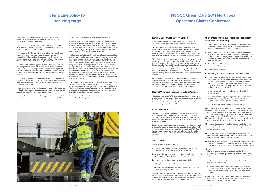# **Stena Line policy for securing cargo**

Stena Line is committed to the proper securing of movable cargo units on board Ro/Ro ships in accordance with the Maritime Administrations' rules and regulations.

Every vessel has a cargo lashing manual. This manual has been verified by the authorities and describes cargo securing procedures as well as materials used for lashing.

The purpose of this document is to have set lashing procedures to ensure safe transport of freight units on board our ships. To accomplish this, the freight units loaded on board must have the correct number of approved lashing brackets. We request therefore that our customers meet the following requirements:

• A freight unit must be equipped with approved lashing brackets (according to the requirements in IMO - Code of Safe Practice for cargo Stowage and Securing"). This means that every freight unit must be equipped with at least four (4) approved lashings brackets on each side to ensure loading and lashing in a manner safe for sea transport.

• Cargo in a transport container must be lashed for sea transport. At a minimum, this lashing must be in compliance with IMO regulations. IMO regulations can be found in "Code of Safe Practice for cargo Stowage and Securing".

• Semi-trailers by the nature of their design should not be supported on their landing legs during sea transport unless the landing legs are specially designed for that purpose and so marked.

An uncoupled semi-trailer should be supported by a trestle or similar device placed in the immediate area of the drawplate so that the

connection of the fifth wheel to the kingpin is not restricted

A clearly visible marking on the outer sidewall of the semi-trailer, or on some other clearly visible place, shall indicate the location of the trestle. The trestle plate should be located between the fifth-wheel plate and the landing legs. If the semi-trailer has more than one fifth wheel coupling pin, the trestle plate location should be measured from the rearmost fifth wheel coupling pin position.

• Trailers designed to transport loads likely to have an adverse effect on their stability (i.e. hanging meat or liquids) must have a means of neutralizing the suspension system in order to avoid a build-up of momentum. "It should never be assumed that the weather will be calm and the sea smooth or that securing methods used for land transport will always be adequate at sea". Packing and securing of cargo into/on to a trailer should be carried out with this in mind therefore it is essential to make the cargo in a trailer secure to prevent cargo movement inside the unit. It should not be assumed that because cargo is heavy it will not move during transport. Trailers presented for shipment without trestle plates fitted and/or suitable marking may result in the shipment being refused on safety grounds or be subject to delay.

• The master of the vessel has the right and the obligation to refuse shipment of freight units intended for sea transport that do not comply with these requirements. For the same reason, the Maritime Administrations in our areas of operation may forbid the Carrier to take such units on board. In these situations, the Carrier reserves the right to leave such freight units on the wharf.

For further information on safe shipment of cargo and securing, please refer to the Freight Transport Information Manual.



# **NSOCC Green Card 2011 North Sea Operator's Claims Conference**

#### **NSOCC Green Card 2011 (1st Edition)**

Guidelines for the settlement of claims relating to Articles of Transport carried under the Carriers' Standard Terms of Carriage.

This sixth edition of these Guidelines is issued to indicate to the trade the parameters that have been agreed between the Carriers and Protection & Indemnity (P&I) Clubs, over the years, for the settlement of claims for damage to Articles of Transport ("AoT") and similar carried under the Carriers' Standard Conditions of Carriage.

These Guidelines do not vary or prejudice the parties' respective legal positions under the Carriers' Standard Conditions of Carriage in any way. AoT includes, unless otherwise indicated, any vehicle, container, flat, pallet, trailer, TUV-certified unit, transportable tank and/or similar items used for the consolidation of goods, as well as mobile plant. Trailers and similar road vehicles must complywith the International Standard ISO 9367-1 and ISO 9367-2, in respect of "Lashing and Securing arrangements on road vehicles for sea transportation on ro/ ro ships".

Special attention is drawn to the Carrier's Standard Conditions of Carriage and nothing contained in these Guidelines shall be construed as a waiver or surrender of any of the carrier's rights and/ or defences. The Carrier shall not undertake any greater liability or responsibility than exists under those standard conditions.

#### **Normal Wear and Tear and Handling Damage**

**D7:** Spare wheel carriers and storage boxes are often positioned close to the ground and any damage shall be considered as inherently occurring due to their location.

Alleged damage to the AoT is frequently found, on inspection, to be wear and tear. AoT are susceptible to damage despite due care being taken during loading, handling, stowing, storing, and discharge, and terminal operations. Carriers shall not accept such wear and tear and such "handling damage" as a valid claim.

#### **Claim Settlement**

The intention of these Guidelines is to establish the basis for an amicable resolution of any claims arising in respect of loss of or damage to an AoT allegedly sustained whilst in the custody of the Carrier. Simplified procedures have been adopted for settlement of valid claims for AoT.

Except where the damaged material is less than 3 months of age, all claim settlements shall be subject to a reduction, in accordance with industry practice to reflect wear and tear depreciation (W&T Clause). Where the damaged material is proven to be less than 3 months of age, loss or damage will be fully reimbursed (Material Lifetime Clause).

#### **Valid Claims**

Claims will only be accepted where:

- **1.** it can be clearly established that the loss or damage occurred whilst the AoT was in the custody of the Carrier; and
- **2.** the loss or damage was caused by the fault or neglect on the part of the Carrier, their Subcontractors, their Servants or their Agents; and
- **3.** it is supported by documentary evidence, specifically:
- **a)** Copy invoice or estimate for repair and/ or replacement costs.
- **b)** Written confirmation that the costs paid have not been claimed from or paid by any other party.

Claimants are expected to mitigate the loss at all times. Where any of the specific items detailed in paragraphs A to E below form part of a larger claim, consideration may be given to settlement without the application of the stated limitations in paragraphs A to E.

### **As a general principle, carriers shall not accept liability for the following:**

- **A:** Damage to parts not visible on delivery through reasonable inspection methods, such as video gates and visual manual delivery checks (depending on port facilities).
- **B:** Roof damages except where damage occurs by external impact whilst the AoT was in the custody of the Carrier only if clearl and evidently visible from ground level or, where quay facilities are available for "proper and efficient" roof damage control, as recorded thereon.
- **C:** Decals, Logos and Advertising except for repair or replacement in the immediate damage area.
- **D:** Trailers and similar items
- **D1:** Any damage caused by shifted cargo within or on the AoT.
- **D2:** Tilts & Curtains except holes and tears in tilts and/or curtains (items not subject to the W&T Clause) where they are significant and were caused as a result of tear or chafe against external objects whilst the AoT was in the custody of the Carrier. Examples of such situations, where liability shall not be accepted, are holes and tears as a result of:

**a)** Tearing or chafing against the framework of, or objects within, the AoT.

**b)** Tearing or chafing against cargo within the AoT, excessive tension in the canopy due to side boards, stanchions or cargo extending beyond the cargo loading platform.

**c)** Knife cuts and tilt damages caused by stowaways.

Unless the cost of repair exceeds the cost of replacement, holes and tears will not be accepted as justifying the complete renewal of the tilt and/or curtains, even if the damage endangers the legitimacy of a certification policy (such as, but not limited to, a TUV Certificate) In the exceptional case of a justified complete renewal of the tilt, any claim settlement will reflect the depreciated replacement value of the tilt and/or curtains at the time that the damage occurred.

- **D3:** Bumpers, Sidebars and Cargo Lifts touch ramps, bollards and other objects. Any related minor damage shall be treated as fair wear and tear, unless they are fully retracted and secured prior to presentation for shipment.
- **D4:** Buffer blocks which are customarily fitted to protect the AoT, or any parts of it, from frequent contact with hard objects. Any damage shall be deemed to be fair wear and tear.
- **D5:** TIR Wires, Eyelets & Curtain Buckles are in excess of the width of the AoT and are subject to damage in normal use. All damage to these and other such items shall be considered as fair wear and tear.
- **D6:** Tyres

Flat tyres, punctures or damages to the tread of the tyres. Damage will only be compensated where there is clear visible impact to the sidewall of the tyres and then only according to the following criteria:

**a)** If the remaining tread is known, compensation shall be calculated pro rata per mm.

**b)** If the remaining tread is unknown, compensation shall be maximum 50%. However, no liability shall be accepted for any tyre with a tread below 4mm or where the tread peels away from the tyres.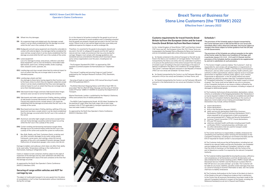- **D9:** Air suspension bags and related parts Any damages, except where it can be clearly established that the damage occurred whilst the AoT was in the custody of the carrier.
- **D10:** Mudguards and anti-spray equipment are inherently vulnerable to contact with external objects. Any damage shall be considered fair wear and tear, except where it can be clearly established that the damage occurred whilst the AoT was in the custody of the carrier.
- **D11:** Loose equipment
- Loss of or damage to lamps, lamp lenses, reflectors and other loose equipment, such as, but not limited to, removable trailer light boards, spare tyres, winding handles, brake couplings, tools, tarpaulin covers, spansets, etc.
- **D12:** Landing legs and stays except where bent by external impact to such an extent that they are no longer able to serve their intended purpose.
- **D13:** Landing legs wheels and feet Any damage to these items having regard to their function and to the heavy stress to which they are regularly subjected, except where it can be clearly established that they were damaged by external impact to such an extent that they are no longer able to serve their intended purpose.
- **D14:** Side board & door hinges and locks Side board & door hinges and locks wear out due to normal handling and corrosion.
- **D15:** Side boards and trailer superstructure Chafing, denting, splitting of side boards (covered side boards are not subject to the W&T Clause) and superstructures, except where it can clearly be established that the damage occurred whilst the AoT was in the custody of the carrier.
- **D16:** Rear board and rear doors Chafing, denting, splitting of the rear board and rear doors, except where it can be clearly established that the damage occurred whilst the AoT was in the custody of the carrier.
- **D17:** Aluminium and other light-weight constructions except frame and sub-frame damage caused by external impact occurring whilst the AoT was in the custody of the carrier.
- **D18:** Curtain-winding and tensioning mechanism except where damage occurs by external impact whilst the AoT was in the custody of the carrier and caused the system to malfunction.
- **E**: Box, Bulk, Reefer, and Tank, Containers Dents, scratches and any other cosmetic damages to any outer casing, panels, framework, corner posts, and castings, where the normal operation of the unit is not impeded (Cosmetic damage Clause). Malfunction of temperature gauges, valve covers, box lids etc.

It is in the interest of all parties involved for the goods to out-turn at the receivers' premises in sound condition and it is therefore essential that the goods are properly stowed and secured in the AoT from the outset. Failure to do so may well be illegal and also cause delay and additional expense for shippers as well as endanger life.

- The British Merchant Shipping Notice no.M.1445 of April 1991. It's associated "Roll On /Roll Off Ships Stowage and Securing of Vehicles Code of Practice" (ISBN 0 11 550995 X) issued by the Department of Transport

Damage to ladders and walkways which does not affect their ability to be used safely. Temperature settings or the malfunction of thermostats, heating or refrigeration units.

Claims in relation to tank containers shall be subject to the right of inspection of the damage and any claim settlement will reflect the depreciated replacement value of the tank container at the time that the damage occurred.

As approved by the North Sea Operator's Claims Conference (NSOCC) Members 2010.

#### **Securing of cargo within vehicles and AOT for carriage by sea**

The object of multimodal transport is to carry goods from the place of consolidation in AoT to their final destination without interference during the carriage.

Therefore, it is essential for the goods to be properly stowed and secured in the AoT, to safeguard the goods and the AoT against natural and man-made circumstances that may arise during the carriage. Shippers must comply with stowage guidelines and standards (and any amendments thereto) which have been drawn up by various organizations over the years, including but not limited to:

> **4.** The Customer shall ensure that all Declarations, including but not limited to any relevant Safety and Security Declaration, are completed and pre-lodged with the relevant Competent Authority no later than the time of checking-in of the Goods with the Carrier at the port of departure or earlier if so required by the relevant Competent **Authority**

- The European Standard EN 12195-1 as approved by CEN members (Comité Européen De Normalisation) on 1 September 2003.

- The manual "Loading and securing Cargo on Load Carriers" published by the Transport Research Institute (TFK), Stockholm, Sweden.

- Securing of loads on road vehicles. (VDI manual Securing of Loads), VDI 2700 published 2004-11.

> **5.** The Customer shall be responsible for ensuring the accuracy, sufficiency and completeness of all Declarations and that all information and data entered into the Carrier's booking system, HMRC's Goods Vehicle Movement Service ("GVMS") and the Revenue's Customs Roll-On Roll-Off Service is accurate and kept up to date. The Customer will be liable for any losses, liabilities, penalties and/or damages that arise as a result of missing or incorrect information or data and the Carrier shall have no liability whatsoever.

Marine Directorate, London, is published by Her Majesty's Stationary Office and contains lists of related publications.

- The IMDG Code Supplemental (Amdt. 40-20) titled "Guidelines for the packing of cargo, other than bulk cargo, into or onto cargo transport units (CTUs) applicable to transport operations by all surface and water modes of transport".

As approved by the North Sea Operator's Claims Conference (NSOCC) Members 2010.



## **NSOCC Green Card 2011 North Sea Operator's Claims Conference**

## **Schedule 1**

The provisions of this Schedule apply to Goods transported by the Carrier between ports in GB and the ROI (or vice versa) with immediate effect unless otherwise indicated, and may be subject to change in the future subject to further guidance from the UK and/ or Irish Governments.

The provisions of this Schedule are without prejudice to the rights of the Carrier under the Stena Line Conditions of Carriage, and in particular clauses 2.3.1, 2.4.4 , 2.5.2 and 5.1.5 thereof, and the provisions of this Schedule shall be considered to be supplemental to, and not in substitution of, such provisions.

**1.** The Carrier's freight customers (below "the Customer") shall be responsible for, and comply with all regulations or requirements of HM Revenue and Customs ("HMRC"), Irish Revenue Commissioners ("Revenue"), and any other customs authority, health authority, port authority or other supranational, national, regional, local or municipal government or regulatory authority, body, agency, court, ministry, inspectorate or department in the UK and/or Ireland and where applicable any other EU member state (the "Competent Authority" or "Competent Authorities") in respect of the import, export or transit of goods. The Carrier shall not be liable for any acts or omissions of any Competent Authority or any losses or delays suffered by the Customer arising from those acts or omissions, including in respect of damaged or deteriorated goods.

**2.** The Customer shall ensure all documentation, declarations, notices or forms, or combination of the foregoing declarations (the "Declarations") as may be required in relation to the Goods are completed and submitted to the relevant Competent Authority depending on the country of departure, transit and/or arrival, it being acknowledged that such Declarations may include, without limitation:

- **a.** export declarations;
- **b.** import declarations; **c.** Entry in the Declarant's Records ("EIDR");
- **d.** safety and security declarations (both Entry Summary
- Declarations ("ENS") and Exit Summary Declarations ("EXS"), where required) for all consignments in both accompanied and unaccompanied AoT's ("Safety and Security Declarations"); **e.** Common Transit Convention ("CTC") transit declarations;
- **f.** ATA and TIR Carnets;
- **g.** veterinary and plant health certificates including export health certificates ("EHCs") and phytosanitary certificates; and **h.** any other declarations that are used for transport and/or
- importing or exporting Goods. **3.** The Carrier shall have no responsibility or liability whatsoever for

completing and submitting and/or verifying the Declarations to the Competent Authorities, including but not limited to the ENS and the EXS (if required) for Goods carried in unaccompanied AoT's.

**6.** The Customer shall produce to the Carrier at the latest at check-in of the Goods at the port of departure evidence that is satisfactory to the Carrier that all necessary Declarations have been made to the relevant Competent Authority in respect of the Goods, including the Reference Number(s) as set out in Clause 8 and 9 below.

# **Brexit Terms of Business for Stena Line Customers (the 'TERMS') 2022 Effective from 1 January 2022**

#### **D8:** Wheel rims Any damages

#### **Customs requirements for travel from/to Great Britain to/from the European Union and for travel from/to Great Britain to/from Northern Ireland**

As the United Kingdom of Great Britain ("GB") and Northern Ireland ("NI") have now left the European Union (the "EU") these Terms are incorporated in the Standard Terms of Business for Stena Line Customers and are immediately applicable unless otherwise indicated:

**a.** for Goods contained in the article of transport or the AoT (as defined in the Stena Line Conditions of Carriage) (below "the Goods") transported by the Stena Line entity who has undertaken to perform or to procure the performance of the entire transport from the place of receipt or port of loading to the port of discharge or the place of delivery as defined in the Stena Line Conditions of Carriage (below "the Carrier") between GB ports and ports in the Republic of Ireland ("ROI") (or vice versa) see Schedule 1 to these Terms;

**b.** for Goods transported by the Carrier in an AoT between GB ports and ports in NI (or vice versa) see Schedule 2 to these Terms; and

**c.** for Goods transported by the Carrier in an AoT between GB ports and ports in the Netherlands (or vice versa) see Schedule 3 to these Terms.

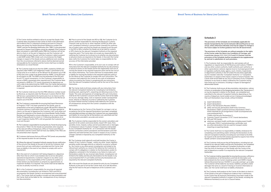**7.** The Carrier shall be entitled to refuse to accept the Goods if the Customer does not produce to the Carrier at check-in the information and evidence that it is required to produce pursuant to Clause 6 above and where the Goods Movement Reference number (the "GMR") and the Pre-Boarding Notification (the "PBN"), to be presented pursuant to Clauses 8 and 9 below cannot be validated. If the Customer does not present a valid GMR and/or PBN the Customer will not be able to check-in at the port of departure and the Customer will be instructed to leave the port until the Customer is able to present a valid GMR and/or PBN. Under such circumstances the freight charges in respect of the Goods and any additional costs resulting from the circumstances referred to above shall be deemed earned and payable by the Customer and the Carrier shall have no liability whatsoever as a result thereof.

**8.** The Customer shall ensure that the GMR, created by GVMS and required under HMRC's pre-lodgement model, is presented to the Carrier prior to or at check-in at the GB port for all exports out of GB to ROI and, from a date to be determined by HMRC, at the ROI port for all imports to GB. The GMR must be presented at the ROI port for all CTC transit movements. It is the Customer's responsibility to ensure a GMR is presented when required and if the Customer does not present a GMR for CTC transit movements for departures up until a date to be determined by HMRC then the Carrier shall assume a GMR is not required and shall have no responsibility or liability if a GMR is required.

**9.** The Customer shall ensure that the PBN reference number issued by Revenue, as required under the Revenue's Customs Roll-On Roll-Off Service, is presented to the Carrier prior to or at check-in at the GB port for all imports into the ROI and at the port in the ROI for all exports out of the ROI.

**10.** The Customer is responsible for ensuring that Export Permission to Progress ("P2P") has been granted for the Goods, prior to embarkation at the port of departure in both GB and ROI. Where the Customer receives a notification that P2P has not been granted at check in at the port of departure the Customer's AoT must either exit the port for inspection of the Goods at an Inland Border Facility (Dublin, Rosslare and Holyhead) or ensure attendance at an in-port inspection facility (Fishguard) prior to check in. If, following attendance at an in-port inspection facility P2P is still not granted, the Customer's AoT must exit the port.

**11.**The Customer is responsible for ensuring that any Transit Accompanying Documents ("TADs") for the Goods are presented, when required, at the relevant Office of Departure, Office of Transit and Office of Destination and the Carrier shall not have any liability if the TADs are not presented when required.

**12.** Customer shall ensure that any ATA and TIR Carnets are presented at the required location for wet stamping.

**13.** Where the relevant Competent Authority requires the pre-notification of the arrival of the Goods at the port of arrival the Customer shall ensure that such pre-notification is provided and the Carrier shall have no liability in the event of any failure to comply with such a requirement.

**20.** The Customer shall be responsible for the correct calculation and payment of all customs and excise duties, import VAT, taxes, fines, penalties, levies, imposts, outlays and all associated costs or damages of whatsoever nature ("Customs Charges") imposed or demanded by any Competent Authority for , or in connection with the Goods and the connected customs procedures and Declarations and shall indemnify and hold harmless the Carrier in respect of any Customs Charges claimed or imposed by any Competent Authority on the **Carrier** 

**14.** In the event of a Customer's AoT being shipped on a departure other than that on which it was booked, due to service disruption, operational requirements, Customer's request or any other cause whatsoever, it is the responsibility of the Customer to update in a timely fashion any Declarations or amend any appointments at inspection facilities if so required. The Carrier shall not be liable for any loss or penalty incurred as a result.

**15.** It is the Customer's responsibility for ensuring all required documentation (including but not limited to TADs and EHCs) accompanies the Goods carried in accompanied and unaccompanied AoT's. The Carrier shall not handle or accept such documentation and the Carrier shall not be liable for the consequences of any missing or lost documentation.

**16.** Prior to arrival of the Goods into ROI or GB, the Customer (or its drivers) shall be responsible for checking the Revenue's Customs Channel Look-up service or, when required, GVMS (or other rele vant Competent Authority's communication channels) for confirma tion of import status and that the Goods are cleared to exit the port in the ROI or GB or whether the Goods are to be held for customs or SPS checks by the relevant Competent Authority at the required inspection point. The Carrier does not accept any responsibility for notifying the Customer (or its drivers) as to whether any documentary or physical checks are required on the Goods. In the event the Carrier does notify the Customer the Carrier takes no responsibility for the accuracy of the information provided.

**17.**It is the Customer's responsibility, at its own cost, to comply with all instructions from the relevant Competent Authority for any documentary or physical checks on the Goods and for the organisation and cost of moving the Goods to the required inspection point and for the cost of the checks themselves. The Carrier shall have no responsibility and/ or liability for moving the Goods to the required inspection point or for the failure of the Customer to comply with such instructions. The Customer shall indemnify the Carrier for any costs of whatsoever nature incurred by the Carrier in complying with any instructions from the relevant Competent Authority and for the cost of the checks themselves.

> **4.** The Customer shall ensure that all Declarations, including but not limited to any relevant Safety and Security Declarations, are completed and pre-lodged with the relevant Competent Authorities no later than the time of checking-in of the Goods with the Carrier at the port of departure or earlier if so required by the relevant Competent **Authorities**

**5.** The Customer shall be responsible for ensuring the accuracy, sufficiency and completeness of all Declarations and that all information and data entered into the Carrier's booking system and HMRC's Goods Vehicle Movement Service ("GVMS") is accurate and kept up to date. The Customer will be liable for any losses, liabilities, penalties and/or damages that arise as a result of missing or incorrect information or data and the Carrier shall have no liability whatsoever.

**18.** The Carrier shall at all times comply with any instructions from the relevant Competent Authority for, including but not limited to, breaking seals, opening AoT's, unpacking and allowing access to the Goods. The costs and expenses of complying with such instructions shall be for the Customer's account and the Carrier shall not be liable for any loss, damage, delay, costs or expenses and/or consequential losses, directly or indirectly incurred or suffered by the Customer by reason thereof and the Customer shall indemnify the Carrier for all consequences arising from the Carrier's compliance with the instructions.

**19.** Acceptance by the Carrier of the Goods for carriage is not an acceptance that all the required Declarations have been completed and submitted and does not relieve the Customer from any responsibility and liability for ensuring that all Declarations are submitted and that the information provided is accurate and correct.

**21.** The Customer shall indemnify and hold harmless the Carrier in respect of any Customs Charges and/or any other losses, liabilities, penalties and/or damages directly or indirectly incurred or suffered by the Carrier or any other person including but not limited to the relevant port authority as a result of the failure by the Customer to comply with its obligations in relation to the Declarations and/or its obligations contained in this Schedule or any failure to make such Declarations and/or for any incorrect data therein, including but not limited to the Safety and Security Declarations for the Goods in any unaccompanied AoT's if such Safety and Security Declarations are required by the relevant Competent Authority.

**22.** In the event the Goods are not cleared for entry by any Competent Authority at the port of arrival the Carrier shall, at its sole discretion, ship the AoT back to the port of departure at the Customer's own cost.



## **Schedule 2**

The provisions of this Schedule are immediately applicable for Goods transported by the Carrier between GB and NI ports (or vice versa), unless otherwise indicated, and may be subject to change in the future subject to further guidance from the UK Government.

The provisions of this Schedule are without prejudice to the rights of the Carrier under the Stena Line Conditions of Carriage, and in particular clauses 2.3.1, 2.4.4, 2.5.2 and 5.1.5 thereof, and the provisions of this Schedule shall be considered to be supplemental to, and not in substitution of, such provisions.

**1.** The Customer shall be responsible for, and comply with all regulations or requirements of HM Revenue and Customs ("HMRC") and any other customs authority, health authority, port authority or other supranational, national, regional, local or municipal government or regulatory authority, body, agency, court, ministry, inspectorate or department authority in the UK and/or NI and where applicable any EU member state (the "Competent Authority" or "Competent Authorities") in respect of the import, export or transit of Goods. The Carrier shall not be liable for any acts or omissions of any Competent Authority or any losses or delays suffered by the Customer arising from those acts or omissions, including in respect of damaged or deteriorated Goods

**2.** The Customer shall ensure all documentation, declarations, notices or forms, or combination of the foregoing declarations (the "Declarations") as may be required in relation to the Goods are completed and submitted to the relevant Competent Authority depending on the country of departure, transit and/or arrival, it being acknowledged that such Declarations may include, without limitation:

- **a.** export declarations;
- **b.** import declarations:
- **c.** Entry in the Declarant's Records ("EIDR");
- **d.** safety and security declarations (both Entry Summary Declarations ("ENS") and Exit Summary Declarations ("EXS"), where required) for all consignments in both accompanied and unaccompanied AoT's
- ("Safety and Security Declarations");
- **e.** Common Transit Convention ("CTC") transit declarations; **f.** ATA and TIR Carnets;
- **g.** veterinary and plant health certificates including export health certificates ("EHCs") and phytosanitary certificates; and
- **h.** any other declarations that are used for transport and/or importing or exporting Goods.

**3.** The Carrier shall have no responsibility or liability whatsoever for completing and submitting and/or verifying the Declarations to the relevant Competent Authority (including but not limited to the ENS for imports to NI and the EXS (where required) for exports from NI for Goods carried in unaccompanied AoT's).

**6.** The Customer shall produce to the Carrier at the latest at check-in of the Goods at the port of departure evidence that is satisfactory to the Carrier that all necessary Declarations have been made to the relevant Competent Authority in respect of the Goods, including the Reference Number(s) as set out in Clause 8 below.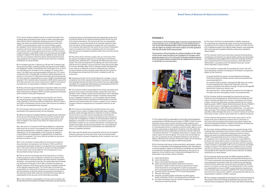#### **Schedule 3**

The provisions of this Schedule apply to Goods transported by the Carrier between ports in the GB and ports in the Netherlands (or vice versa) with immediate effect, unless otherwise indicated, and may be subject to change in the future subject to further guidance from the UK and for Dutch Governments.

The provisions of this Schedule are without prejudice to the rights of the Carrier under the Stena Line Conditions of Carriage, and in particular clauses 2.3.1, 2.4.4, 2.5.2 and 5.1.5 thereof, and the provisions of this Schedule shall be considered to be supplemental to, and not in substitution of, such provisions.



**1.** The Customer shall be responsible for, and comply with all regulations or requirements of HM Revenue and Customs ("HMRC"), Dutch Customs (Douane) and any other customs authority, health authority, port authority or other Government supranational, national, regional, local or municipal government or regulatory authority, body, agency, court, ministry, inspectorate or department Authority in the UK and/or the Netherlands and where applicable any other EU member state (the "Competent Authority" or "Competent Authorities") in respect of the import, export or transit of goods. The Carrier shall not be liable for any acts or omissions of any Competent Authority or any losses or delays suffered by the Customer arising from those acts or omissions, including in respect of damaged or deteriorated goods.

**3.** The Carrier shall have no responsibility or liability whatsoever for completing and submitting and/or verifying the Declarations (including but not limited to the ENS for imports into GB, and the EXS if required for exports from GB) for Goods carried in unaccompanied AoT's to the relevant Competent Authority, except where indicated in Clause 5 below.

**2.**The Customer shall ensure all documentation, declarations, notices or forms, or combination of the foregoing declarations (the "Declarations") as may be required in relation to the Goods are completed and submitted to the relevant Competent Authority depending on the country of departure, transit and/or arrival, it being acknowledged that such Declarations may include, without limitation:

- **a.** export declarations;
- **b.** import declarations
- **c.** Entry in the Declarant's Records ("EIDR");
- **d.** safety and security declarations (both Entry Summary Declarations ("ENS") and Exit Summary Declarations ("EXS"), where required) for all consignments in both accompanied and unaccompanied AoT's ("Safety and Security Declarations"); **e.** Common Transit Convention ("CTC") transit declarations;
- **f.** ATA and TIR Carnets;
- **g.** veterinary and plant health certificates including export
- health certificates ("EHCs") and phytosanitary certificates; and **h.** any other declarations that are used for transport and/or importing or exporting Goods.

**8.** The Carrier shall be entitled to refuse to accept the Goods if the Customer does not produce to the Carrier at check-in the information and evidence that it is required to produce pursuant to Clause 7 above and where the Goods Movement Reference number( (the "GMR") to be presented pursuant to Clauses 9 below cannot be validated. If the Customer does not present a valid GMR the Customer will not be able to check-in at the port of departure and the Customer will be instructed to leave the port until the Customer is able to present a valid GMR. Under such circumstances the freight charges in respect of the Goods and any additional costs resulting from the circumstances referred to above shall be deemed earned and payable by the Customer and the Carrier shall have no liability whatsoever as a result thereof

**4.** The Customer shall ensure that where required all Declarations, including but not limited to any relevant Safety and Security Declaration, are completed and pre-lodged with the relevant Competent Authority, and if required local Port Community Systems in both GB and the Netherlands, in accordance with the required timescales, except where indicated in Clause 5 below.

**5.** The Customer is responsible for providing the Carrier with sufficient information and data, including but not limited to consignment details, for the Carrier to

- (i) submit the ENS for imports into the Netherlands Portbase Community System for Goods carried in both accompanied and unaccompanied AoT-s,
- (ii) create the ENS for Goods imported into GB which are carried in unaccompanied (non-transit) and Trade AoTs which are customs controlled at the GB port through Temporary Storage/GB Destin8 Port Community System; and
- (iii) create the EXS , where required, for exports from the GB port of empty and return packaging carried in accompanied AoTs.

**6.** The Customer shall be responsible for ensuring the accuracy, sufficiency and completeness of all Declarations, including the information and data provided to the Carrier in accordance with Clause 5 above, and that all information and data entered into the Carrier's booking system, HMRC's Goods Vehicle Movement Service ("GVMS") and any other system, including but not limited to the local Port Community Systems in both GB and the Netherlands, is accurate and kept up to date. The Customer will be liable for any losses, liabilities, penalties and/or damages that arise as a result of missing or incorrect information or data and the Carrier shall have no liability whatsoever.

**7.** The Customer shall produce to the Carrier upon check-in of the Goods at the port of departure evidence that is satisfactory to the Carrier that all necessary Declarations have been made to the relevant Competent Authority in respect of the Goods, including the Reference Number(s) as set out in Clause 9 below.

**9.** The Customer shall ensure that the GMR created by GVMS is presented to the Carrier for all driver accompanied movements, all CTC transit movements (accompanied and unaccompanied) and any unaccompanied movements where the Customer has advised the Carrier that they require the movement to be controlled via GVMS, prior to or at check-in at the port in the Netherlands It is the Customer's responsibility to ensure a GMR is presented when required and If the Customer does not present a GMR for CTC transit movements then the Carrier shall assume a GMR is not required and shall have no responsibility or liability if a GMR is required.

**10.** The Customer is responsible for ensuring that any Transit Accompanying Documents ("TADs") for the Goods are presented, when required, at the relevant Office of Departure, Office of Transit and Office of Destination

**7.** The Carrier shall be entitled to refuse to accept the Goods if the Customer does not produce to the Carrier at check-in the information and evidence that it is required to produce pursuant to Clause 6 above and where the Goods Movement Reference number (the "GMR"), to be presented pursuant to Clause 8 below cannot be validated. If the Customer does not present a valid GMR the Customer will not be able to check-in at the port of departure and the Customer will be instructed to leave the port until the Customer is able to present a valid GMR. Under such circumstances the freight charges in respect of the Goods and any additional costs resulting from the circumstances referred to above shall be deemed earned and payable by the Customer and the Carrier shall have no liability whatsoever as a result thereof.

**8.** For all departures from a GB port to a NI port the Customer shall ensure that the GMR, created by GVMS and required under HMRC's pre-lodgement model, is presented to the Carrier prior to or at checkin at the GB port for all imports to NI, including CTC transit movements. The GMR must also be presented at NI ports for CTC transit movements into or through GB, or where an export declaration is required or in the event of a GB import declaration becoming required. It is the Customer's responsibility to ensure a GMR is presented when required. If the Customer does not present a GMR where required for NI to GB movements the Carrier shall assume a GMR is not required and shall have no responsibility or liability if a GMR is required.

**9.** Where a NI or EU export declaration is required in relation to a direct shipment from NI to GB, the Customer is responsible for ensuring that Export Permission to Progress ("P2P") has been granted for the Goods, prior to check-in at the port of departure.

**10.** The Customer is responsible for ensuring that any Transit Accompanying Documents ("TADs") for the Goods are presented, when required, at the relevant Office of Departure, Office of Transit and Office of Destination and the Carrier shall not have any liability if the TADs are not presented when required.

**11.** The Customer shall ensure that any ATA and TIR Carnets are presented at the required location for wet stamping.

**12.** Where the relevant Competent Authority requires the pre-notification of the arrival of the Goods at the port of arrival the Customer shall ensure that such pre-notification is provided and the Carrier shall have no liability in the event of any failure to comply with such a requirement.

**13.** In the event of a Customer's AoT being shipped on a departure other than that on which it was booked, due to service disruption, operational requirements, Customer's request or any other cause whatsoever, it is the responsibility of the Customer to update in a timely fashion any Declarations or appointments at inspection facilities if so required. The Carrier shall not be liable for any loss or penalty incurred as a result.

**14.** It is the Customer's responsibility for ensuring all required documentation (including but not limited to TADs and EHCs) accompanies the Goods carried in accompanied and unaccompanied AoT's. The Carrier shall not handle or accept such documentation and the Carrier shall not be liable for the consequences of any documentation being missing or lost.

**15.** Prior to arrival of the Goods into NI (all shipments) or if under a customs process on entry to GB, the Customer (or its drivers) shall be responsible for checking GVMS (or any other relevant Competent Authority's communication channels) for confirmation that the Goods are cleared to exit the port in NI or GB or whether the Goods are held for customs or SPS checks by the relevant Competent Authority at the required inspection point. The Carrier does not accept any responsibility for notifying the Customer (or its drivers) as to whether any documentary or physical checks are required on the Goods. In the event the Carrier does notify the Customer the Carrier takes no responsibility for the accuracy of the information provided.

**16.** It is the Customer's responsibility, at its own cost, to comply with all instructions from the relevant Competent Authority for any documentary or physical checks on the Goods and for the organisation and cost of moving the Goods to the required inspection point and for the cost of the checks themselves. The Carrier shall have no responsibility and liability for moving the Goods to the required inspection point or for the failure of the Customer to comply with such instructions. The Customer shall indemnify the Carrier for any costs of whatsoever nature incurred by the Carrier in complying with any instructions from the relevant Competent Authority and for the cost of the checks themselves.

**17.** The Carrier shall at all times comply with any instructions from the relevant Competent Authority for, including but not limited to, breaking seals, opening AoT's, unpacking and allowing access to the Goods. The costs and expenses of complying with such instructions shall be for the Customer's account and the Carrier shall not be liable for any loss, damage, delay costs or expenses and/or consequential losses, directly or indirectly incurred or suffered by the Customer by reason thereof and the Customer shall indemnify the Carrier for all consequences arising from the Carrier's compliance with the instructions.

**18.** Acceptance by the Carrier of the Goods for carriage is not an acceptance that all the required Declarations have been completed and submitted and does not relieve the Customer from any responsibility and liability for ensuring that all Declarations are submitted and that the information provided is accurate and correct.

**19.** The Customer shall be responsible for the correct calculation and payment of all customs and excise duties, import VAT, taxes, fines, penalties, levies, imposts, outlays and all associated costs or damages of whatsoever nature ("Customs Charges") imposed or demanded by any Competent Authority for , or in connection with the Goods and the connected customs procedures and Declarations and shall indemnify and hold harmless the Carrier in respect of any Customs Charges claimed or imposed by any Competent Authority on the Carrier.

**20.** The Customer shall indemnify and hold harmless the carrier in respect of any Customs Charges and/or other losses, liabilities, penalties and/or damages directly or indirectly incurred or suffered by the Carrier or any other person (including but not limited the relevant port authority) as a result of the failure by the Customer to comply with its obligations in relation to the Declarations and/or its obligations contained in this Schedule or any failure to make such Declarations and/or for any incorrect data therein, including but not limited to the Safety and Security Declarations for unaccompanied AoT's if such Safety and Security Declarations are required by the relevant Competent Authority.

**21.** In the event the Goods are not cleared for entry by any Competent Authority at the port of arrival the Carrier shall, at its sole discretion, ship the AoT back to the port of departure at the Customer's own cost.